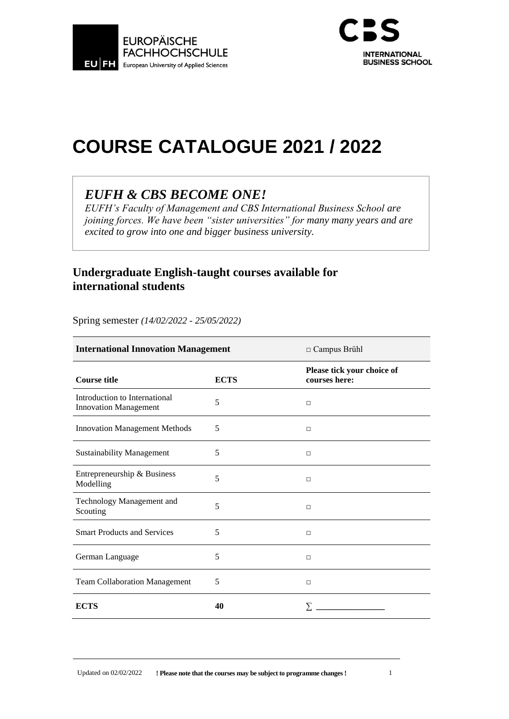



# **COURSE CATALOGUE 2021 / 2022**

# *EUFH & CBS BECOME ONE!*

*EUFH's Faculty of Management and CBS International Business School are joining forces. We have been "sister universities" for many many years and are excited to grow into one and bigger business university.*

#### **Undergraduate English-taught courses available for international students**

Spring semester *(14/02/2022 - 25/05/2022)*

| <b>International Innovation Management</b>                    |             | $\Box$ Campus Brühl                         |
|---------------------------------------------------------------|-------------|---------------------------------------------|
| <b>Course title</b>                                           | <b>ECTS</b> | Please tick your choice of<br>courses here: |
| Introduction to International<br><b>Innovation Management</b> | 5           | $\Box$                                      |
| <b>Innovation Management Methods</b>                          | 5           | □                                           |
| <b>Sustainability Management</b>                              | 5           | $\Box$                                      |
| Entrepreneurship & Business<br>Modelling                      | 5           | П                                           |
| Technology Management and<br>Scouting                         | 5           | $\Box$                                      |
| <b>Smart Products and Services</b>                            | 5           | $\Box$                                      |
| German Language                                               | 5           | П                                           |
| <b>Team Collaboration Management</b>                          | 5           | $\Box$                                      |
| <b>ECTS</b>                                                   | 40          |                                             |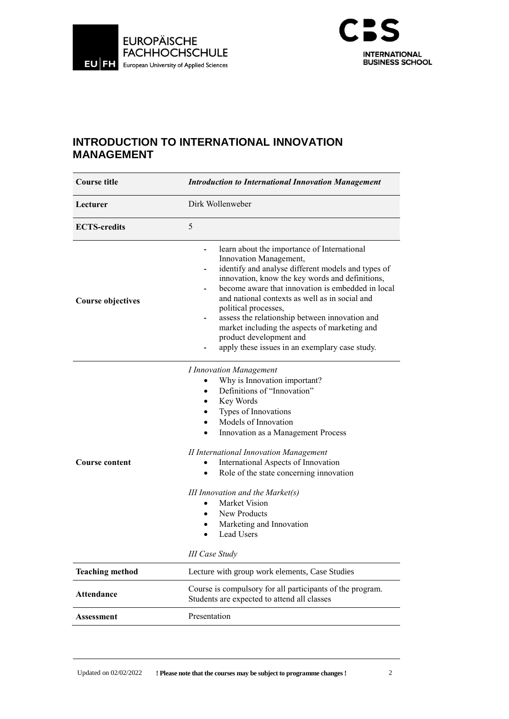



#### **INTRODUCTION TO INTERNATIONAL INNOVATION MANAGEMENT**

| <b>Course title</b>      | <b>Introduction to International Innovation Management</b>                                                                                                                                                                                                                                                                                                                                                                                                                                                                 |  |
|--------------------------|----------------------------------------------------------------------------------------------------------------------------------------------------------------------------------------------------------------------------------------------------------------------------------------------------------------------------------------------------------------------------------------------------------------------------------------------------------------------------------------------------------------------------|--|
| Lecturer                 | Dirk Wollenweber                                                                                                                                                                                                                                                                                                                                                                                                                                                                                                           |  |
| <b>ECTS-credits</b>      | 5                                                                                                                                                                                                                                                                                                                                                                                                                                                                                                                          |  |
| <b>Course objectives</b> | learn about the importance of International<br>$\overline{\phantom{0}}$<br>Innovation Management,<br>identify and analyse different models and types of<br>innovation, know the key words and definitions,<br>become aware that innovation is embedded in local<br>and national contexts as well as in social and<br>political processes,<br>assess the relationship between innovation and<br>market including the aspects of marketing and<br>product development and<br>apply these issues in an exemplary case study.  |  |
| <b>Course content</b>    | <b>I</b> Innovation Management<br>Why is Innovation important?<br>Definitions of "Innovation"<br>Key Words<br>Types of Innovations<br>Models of Innovation<br>Innovation as a Management Process<br><b>II</b> International Innovation Management<br>International Aspects of Innovation<br>Role of the state concerning innovation<br>III Innovation and the Market $(s)$<br>Market Vision<br>$\bullet$<br>New Products<br>$\bullet$<br>Marketing and Innovation<br>$\bullet$<br>Lead Users<br>٠<br><b>III Case Study</b> |  |
| <b>Teaching method</b>   | Lecture with group work elements, Case Studies                                                                                                                                                                                                                                                                                                                                                                                                                                                                             |  |
| <b>Attendance</b>        | Course is compulsory for all participants of the program.<br>Students are expected to attend all classes                                                                                                                                                                                                                                                                                                                                                                                                                   |  |
| <b>Assessment</b>        | Presentation                                                                                                                                                                                                                                                                                                                                                                                                                                                                                                               |  |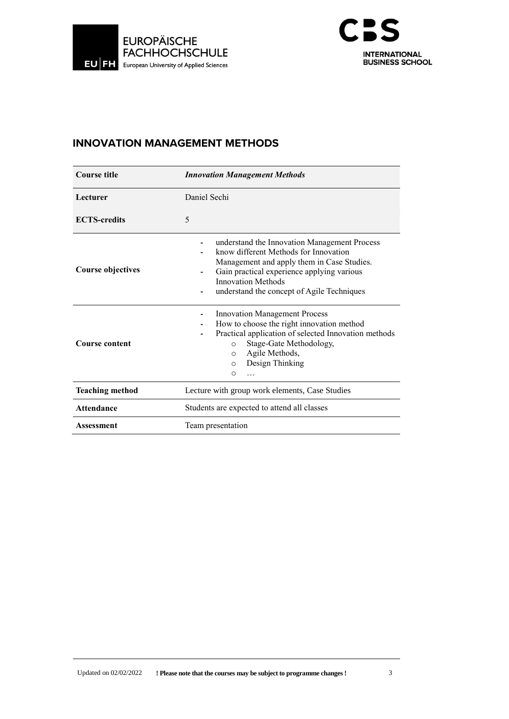



#### **INNOVATION MANAGEMENT METHODS**

| <b>Course title</b>      | <b>Innovation Management Methods</b>                                                                                                                                                                                                                         |  |
|--------------------------|--------------------------------------------------------------------------------------------------------------------------------------------------------------------------------------------------------------------------------------------------------------|--|
| Lecturer                 | Daniel Sechi                                                                                                                                                                                                                                                 |  |
| <b>ECTS-credits</b>      | 5                                                                                                                                                                                                                                                            |  |
| <b>Course objectives</b> | understand the Innovation Management Process<br>know different Methods for Innovation<br>Management and apply them in Case Studies.<br>Gain practical experience applying various<br><b>Innovation Methods</b><br>understand the concept of Agile Techniques |  |
| <b>Course content</b>    | <b>Innovation Management Process</b><br>How to choose the right innovation method<br>Practical application of selected Innovation methods<br>Stage-Gate Methodology,<br>$\circ$<br>Agile Methods,<br>$\circ$<br>Design Thinking<br>$\circ$<br>$\circ$<br>.   |  |
| <b>Teaching method</b>   | Lecture with group work elements, Case Studies                                                                                                                                                                                                               |  |
| <b>Attendance</b>        | Students are expected to attend all classes                                                                                                                                                                                                                  |  |
| Assessment               | Team presentation                                                                                                                                                                                                                                            |  |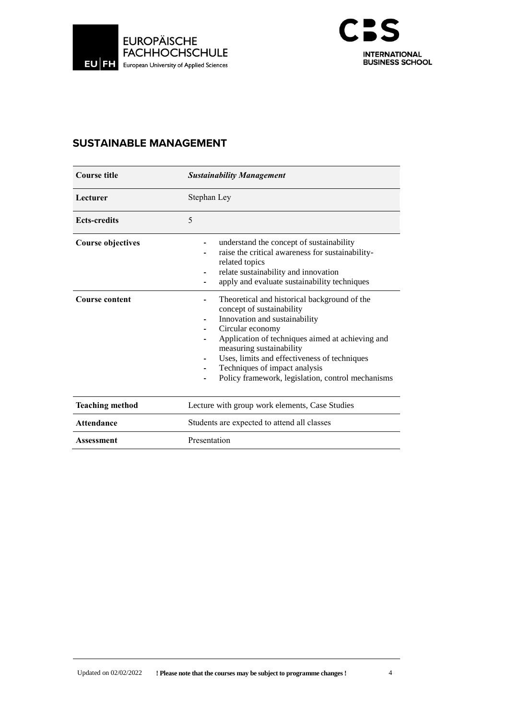



#### **SUSTAINABLE MANAGEMENT**

| <b>Course title</b>      | <b>Sustainability Management</b>                                                                                                                                                                                                                                                                                                                     |
|--------------------------|------------------------------------------------------------------------------------------------------------------------------------------------------------------------------------------------------------------------------------------------------------------------------------------------------------------------------------------------------|
| Lecturer                 | Stephan Ley                                                                                                                                                                                                                                                                                                                                          |
| <b>Ects-credits</b>      | 5                                                                                                                                                                                                                                                                                                                                                    |
| <b>Course objectives</b> | understand the concept of sustainability<br>raise the critical awareness for sustainability-<br>related topics<br>relate sustainability and innovation<br>apply and evaluate sustainability techniques                                                                                                                                               |
| <b>Course content</b>    | Theoretical and historical background of the<br>concept of sustainability<br>Innovation and sustainability<br>Circular economy<br>Application of techniques aimed at achieving and<br>measuring sustainability<br>Uses, limits and effectiveness of techniques<br>Techniques of impact analysis<br>Policy framework, legislation, control mechanisms |
| <b>Teaching method</b>   | Lecture with group work elements, Case Studies                                                                                                                                                                                                                                                                                                       |
| <b>Attendance</b>        | Students are expected to attend all classes                                                                                                                                                                                                                                                                                                          |
| <b>Assessment</b>        | Presentation                                                                                                                                                                                                                                                                                                                                         |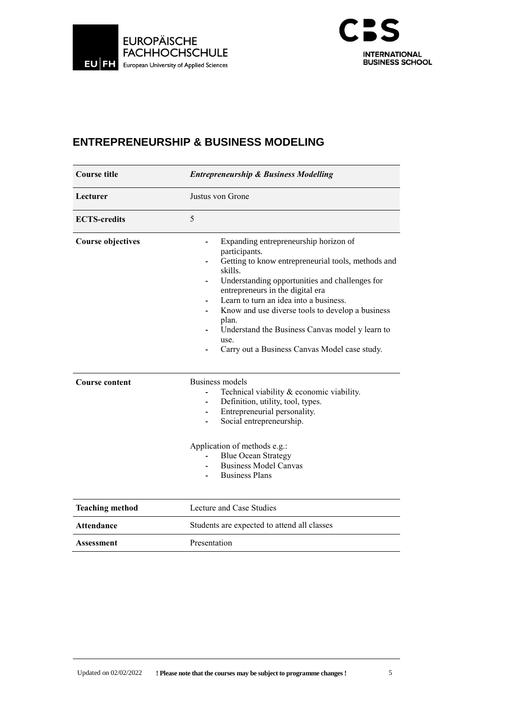



#### **ENTREPRENEURSHIP & BUSINESS MODELING**

| <b>Course title</b>      | <b>Entrepreneurship &amp; Business Modelling</b>                                                                                                                                                                                                                                                                                                                                                                                 |  |
|--------------------------|----------------------------------------------------------------------------------------------------------------------------------------------------------------------------------------------------------------------------------------------------------------------------------------------------------------------------------------------------------------------------------------------------------------------------------|--|
| Lecturer                 | Justus von Grone                                                                                                                                                                                                                                                                                                                                                                                                                 |  |
| <b>ECTS-credits</b>      | 5                                                                                                                                                                                                                                                                                                                                                                                                                                |  |
| <b>Course objectives</b> | Expanding entrepreneurship horizon of<br>participants.<br>Getting to know entrepreneurial tools, methods and<br>skills.<br>Understanding opportunities and challenges for<br>entrepreneurs in the digital era<br>Learn to turn an idea into a business.<br>Know and use diverse tools to develop a business<br>plan.<br>Understand the Business Canvas model y learn to<br>use.<br>Carry out a Business Canvas Model case study. |  |
| <b>Course content</b>    | <b>Business models</b><br>Technical viability & economic viability.<br>Definition, utility, tool, types.<br>Entrepreneurial personality.<br>Social entrepreneurship.<br>Application of methods e.g.:<br><b>Blue Ocean Strategy</b><br><b>Business Model Canvas</b><br><b>Business Plans</b>                                                                                                                                      |  |
| <b>Teaching method</b>   | Lecture and Case Studies                                                                                                                                                                                                                                                                                                                                                                                                         |  |
| <b>Attendance</b>        | Students are expected to attend all classes                                                                                                                                                                                                                                                                                                                                                                                      |  |
| Assessment               | Presentation                                                                                                                                                                                                                                                                                                                                                                                                                     |  |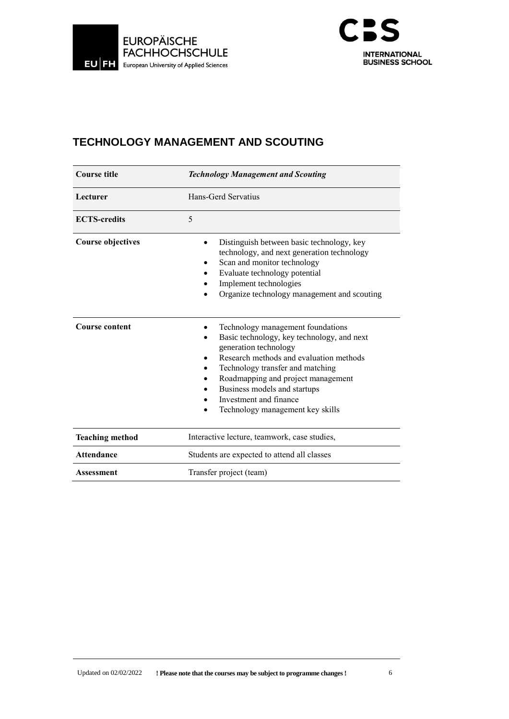



# **TECHNOLOGY MANAGEMENT AND SCOUTING**

| <b>Course title</b>      | <b>Technology Management and Scouting</b>                                                                                                                                                                                                                                                                                   |  |
|--------------------------|-----------------------------------------------------------------------------------------------------------------------------------------------------------------------------------------------------------------------------------------------------------------------------------------------------------------------------|--|
| Lecturer                 | Hans-Gerd Servatius                                                                                                                                                                                                                                                                                                         |  |
| <b>ECTS-credits</b>      | 5                                                                                                                                                                                                                                                                                                                           |  |
| <b>Course objectives</b> | Distinguish between basic technology, key<br>technology, and next generation technology<br>Scan and monitor technology<br>Evaluate technology potential<br>Implement technologies<br>Organize technology management and scouting                                                                                            |  |
| <b>Course content</b>    | Technology management foundations<br>Basic technology, key technology, and next<br>generation technology<br>Research methods and evaluation methods<br>Technology transfer and matching<br>Roadmapping and project management<br>Business models and startups<br>Investment and finance<br>Technology management key skills |  |
| <b>Teaching method</b>   | Interactive lecture, teamwork, case studies,                                                                                                                                                                                                                                                                                |  |
| <b>Attendance</b>        | Students are expected to attend all classes                                                                                                                                                                                                                                                                                 |  |
| Assessment               | Transfer project (team)                                                                                                                                                                                                                                                                                                     |  |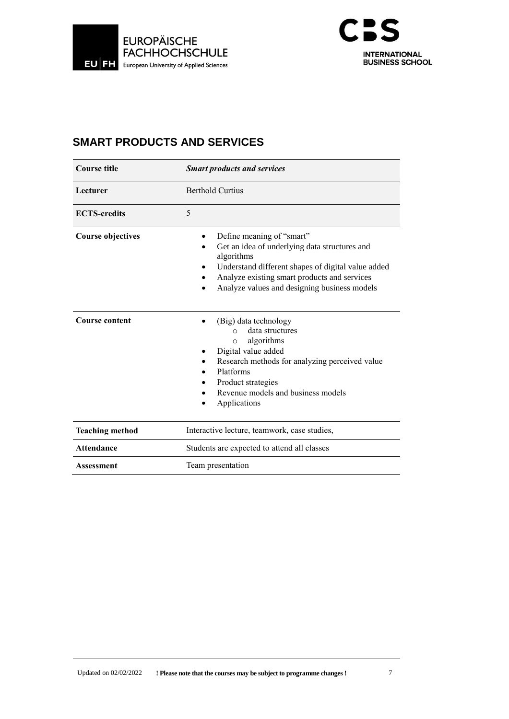



# **SMART PRODUCTS AND SERVICES**

| <b>Course title</b>      | <b>Smart products and services</b>                                                                                                                                                                                                             |  |
|--------------------------|------------------------------------------------------------------------------------------------------------------------------------------------------------------------------------------------------------------------------------------------|--|
| Lecturer                 | <b>Berthold Curtius</b>                                                                                                                                                                                                                        |  |
| <b>ECTS-credits</b>      | 5                                                                                                                                                                                                                                              |  |
| <b>Course objectives</b> | Define meaning of "smart"<br>Get an idea of underlying data structures and<br>algorithms<br>Understand different shapes of digital value added<br>Analyze existing smart products and services<br>Analyze values and designing business models |  |
| <b>Course content</b>    | (Big) data technology<br>data structures<br>$\cap$<br>algorithms<br>$\circ$<br>Digital value added<br>Research methods for analyzing perceived value<br>Platforms<br>Product strategies<br>Revenue models and business models<br>Applications  |  |
| <b>Teaching method</b>   | Interactive lecture, teamwork, case studies,                                                                                                                                                                                                   |  |
| <b>Attendance</b>        | Students are expected to attend all classes                                                                                                                                                                                                    |  |
| Assessment               | Team presentation                                                                                                                                                                                                                              |  |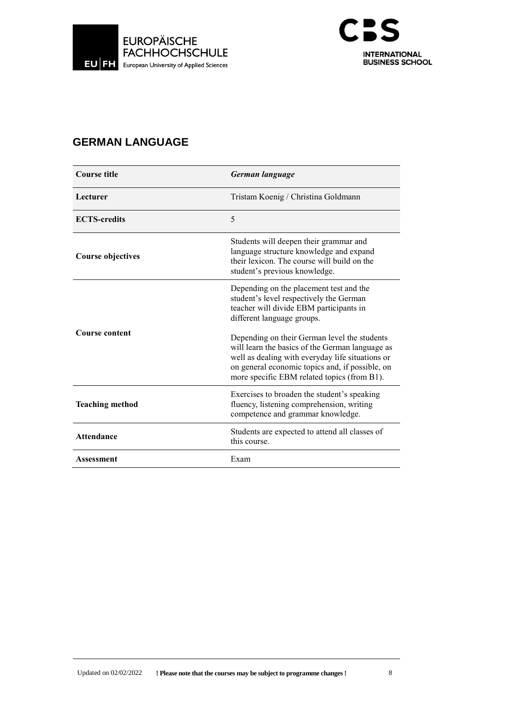



# **GERMAN LANGUAGE**

| <b>Course title</b>    | German language                                                                                                                                                                                                                                       |
|------------------------|-------------------------------------------------------------------------------------------------------------------------------------------------------------------------------------------------------------------------------------------------------|
| Lecturer               | Tristam Koenig / Christina Goldmann                                                                                                                                                                                                                   |
| <b>ECTS-credits</b>    | 5                                                                                                                                                                                                                                                     |
| Course objectives      | Students will deepen their grammar and<br>language structure knowledge and expand<br>their lexicon. The course will build on the<br>student's previous knowledge.                                                                                     |
|                        | Depending on the placement test and the<br>student's level respectively the German<br>teacher will divide EBM participants in<br>different language groups.                                                                                           |
| <b>Course content</b>  | Depending on their German level the students<br>will learn the basics of the German language as<br>well as dealing with everyday life situations or<br>on general economic topics and, if possible, on<br>more specific EBM related topics (from B1). |
| <b>Teaching method</b> | Exercises to broaden the student's speaking<br>fluency, listening comprehension, writing<br>competence and grammar knowledge.                                                                                                                         |
| <b>Attendance</b>      | Students are expected to attend all classes of<br>this course.                                                                                                                                                                                        |
| Assessment             | Exam                                                                                                                                                                                                                                                  |